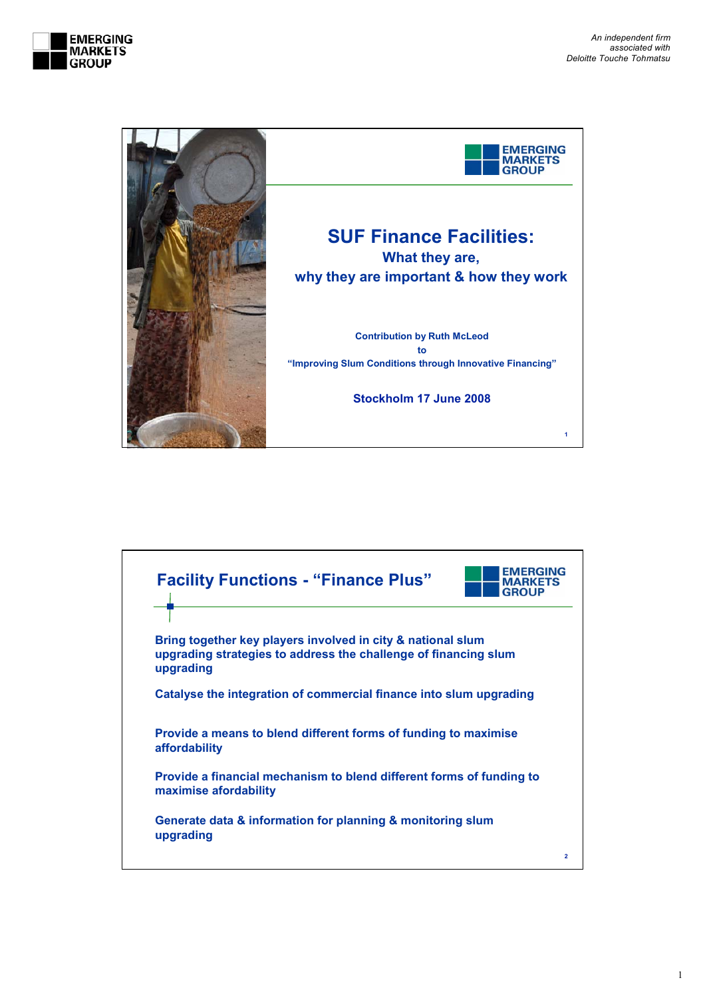



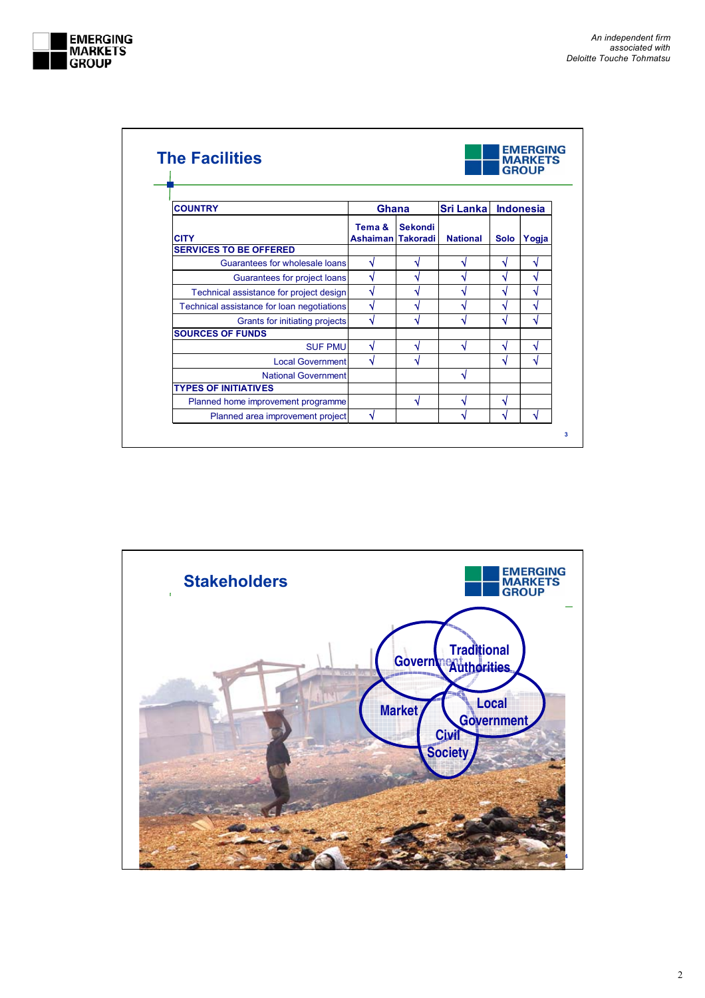

|                                            | <b>MARKETS</b><br><b>GROUP</b> |                |                  |                  |       |
|--------------------------------------------|--------------------------------|----------------|------------------|------------------|-------|
| <b>COUNTRY</b>                             | <b>Ghana</b>                   |                | <b>Sri Lanka</b> | <b>Indonesia</b> |       |
| <b>CITY</b>                                | Tema &<br>Ashaiman Takoradi    | <b>Sekondi</b> | <b>National</b>  | <b>Solo</b>      | Yogja |
| <b>SERVICES TO BE OFFERED</b>              |                                |                |                  |                  |       |
| Guarantees for wholesale loans             | √                              |                |                  | ٦J               | N     |
| Guarantees for project loans               | √                              |                |                  | ٦J               | N     |
| Technical assistance for project design    | √                              |                |                  | √                | ٧     |
| Technical assistance for loan negotiations | ٦I                             |                |                  | ٦J               | ٦     |
| Grants for initiating projects             | ٦J                             |                |                  | ٦J               | N     |
| <b>SOURCES OF FUNDS</b>                    |                                |                |                  |                  |       |
| <b>SUF PMU</b>                             | ٧                              |                |                  | √                | ٧     |
| <b>Local Government</b>                    | √                              |                |                  | √                | ٦J    |
| <b>National Government</b>                 |                                |                | N                |                  |       |
| <b>TYPES OF INITIATIVES</b>                |                                |                |                  |                  |       |
| Planned home improvement programme         |                                |                | ٧                | √                |       |
| Planned area improvement project           | √                              |                | N                | ٦J               | N     |

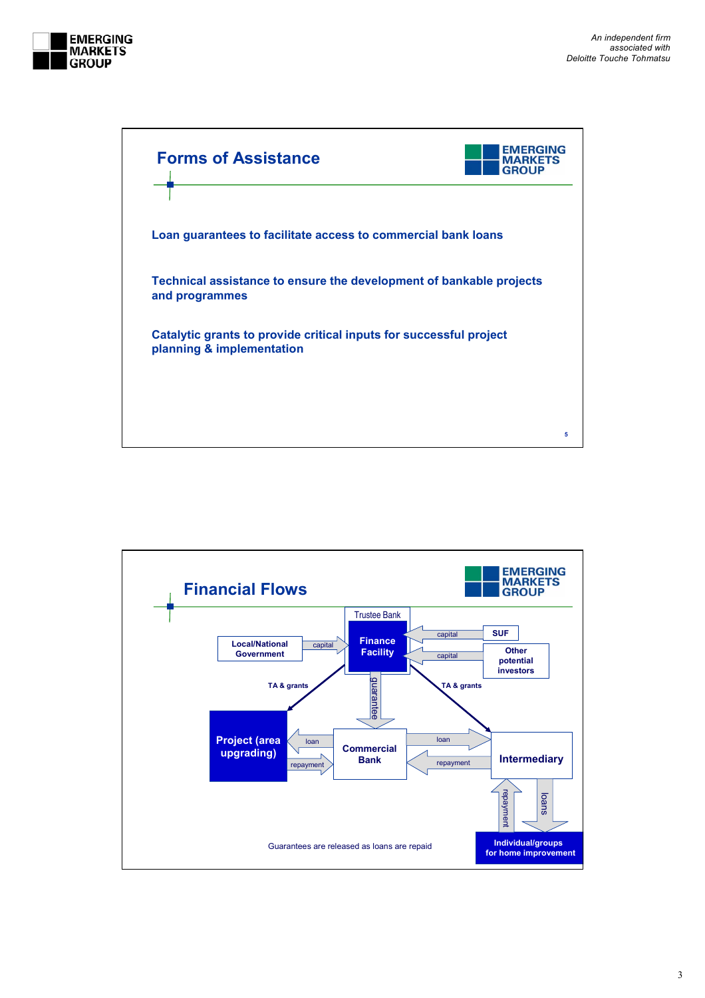



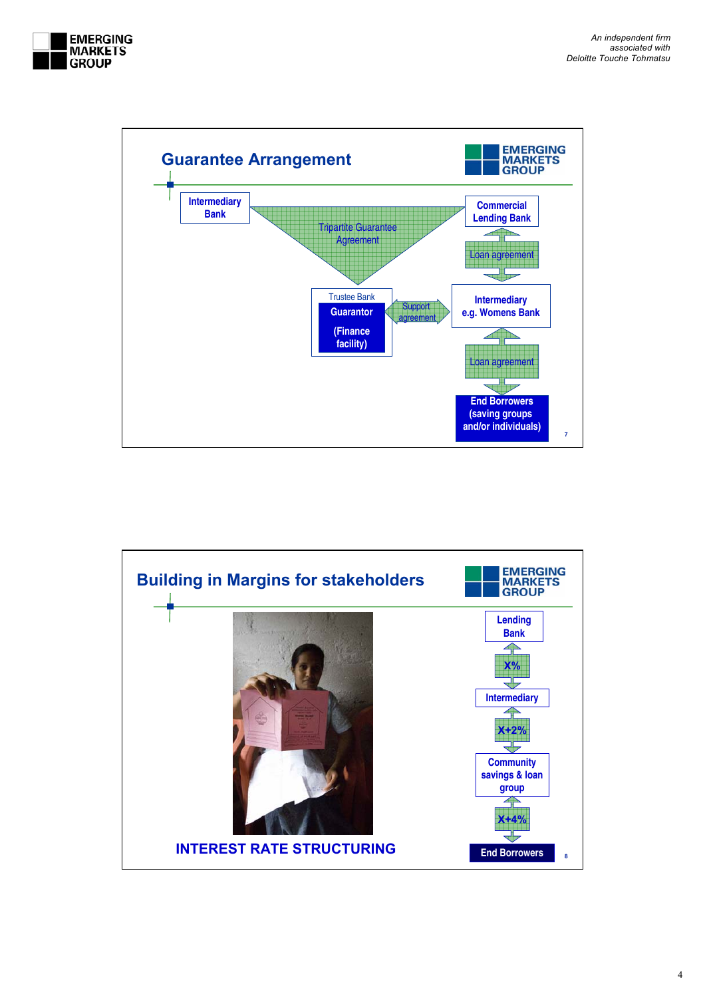



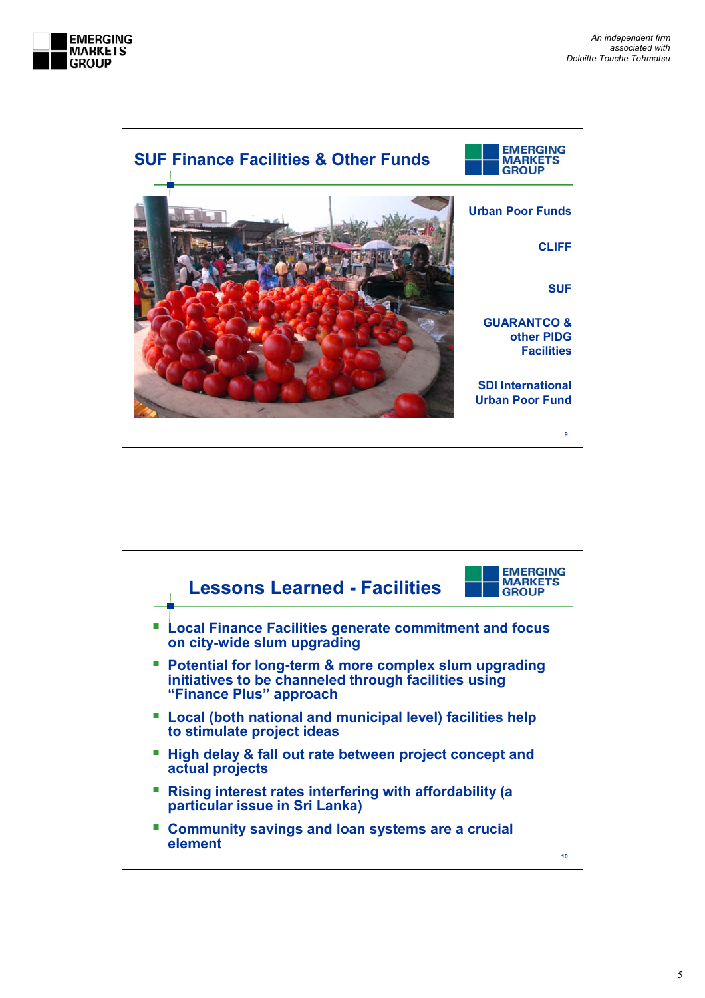